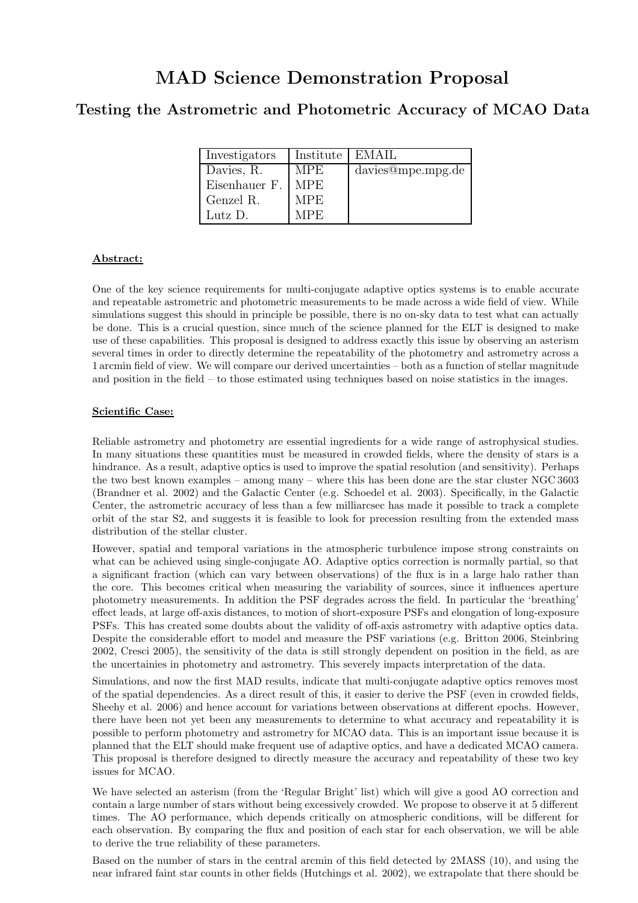# MAD Science Demonstration Proposal

# Testing the Astrometric and Photometric Accuracy of MCAO Data

| Investigators | Institute  | EMAIL             |
|---------------|------------|-------------------|
| Davies, R.    | <b>MPE</b> | davies@mpe.mpg.de |
| Eisenhauer F. | MPE.       |                   |
| Genzel R.     | MPE.       |                   |
| Lutz D.       | MPE.       |                   |

### Abstract:

One of the key science requirements for multi-conjugate adaptive optics systems is to enable accurate and repeatable astrometric and photometric measurements to be made across a wide field of view. While simulations suggest this should in principle be possible, there is no on-sky data to test what can actually be done. This is a crucial question, since much of the science planned for the ELT is designed to make use of these capabilities. This proposal is designed to address exactly this issue by observing an asterism several times in order to directly determine the repeatability of the photometry and astrometry across a 1 arcmin field of view. We will compare our derived uncertainties – both as a function of stellar magnitude and position in the field – to those estimated using techniques based on noise statistics in the images.

# Scientific Case:

Reliable astrometry and photometry are essential ingredients for a wide range of astrophysical studies. In many situations these quantities must be measured in crowded fields, where the density of stars is a hindrance. As a result, adaptive optics is used to improve the spatial resolution (and sensitivity). Perhaps the two best known examples – among many – where this has been done are the star cluster NGC 3603 (Brandner et al. 2002) and the Galactic Center (e.g. Schoedel et al. 2003). Specifically, in the Galactic Center, the astrometric accuracy of less than a few milliarcsec has made it possible to track a complete orbit of the star S2, and suggests it is feasible to look for precession resulting from the extended mass distribution of the stellar cluster.

However, spatial and temporal variations in the atmospheric turbulence impose strong constraints on what can be achieved using single-conjugate AO. Adaptive optics correction is normally partial, so that a significant fraction (which can vary between observations) of the flux is in a large halo rather than the core. This becomes critical when measuring the variability of sources, since it influences aperture photometry measurements. In addition the PSF degrades across the field. In particular the 'breathing' effect leads, at large off-axis distances, to motion of short-exposure PSFs and elongation of long-exposure PSFs. This has created some doubts about the validity of off-axis astrometry with adaptive optics data. Despite the considerable effort to model and measure the PSF variations (e.g. Britton 2006, Steinbring 2002, Cresci 2005), the sensitivity of the data is still strongly dependent on position in the field, as are the uncertainies in photometry and astrometry. This severely impacts interpretation of the data.

Simulations, and now the first MAD results, indicate that multi-conjugate adaptive optics removes most of the spatial dependencies. As a direct result of this, it easier to derive the PSF (even in crowded fields, Sheehy et al. 2006) and hence account for variations between observations at different epochs. However, there have been not yet been any measurements to determine to what accuracy and repeatability it is possible to perform photometry and astrometry for MCAO data. This is an important issue because it is planned that the ELT should make frequent use of adaptive optics, and have a dedicated MCAO camera. This proposal is therefore designed to directly measure the accuracy and repeatability of these two key issues for MCAO.

We have selected an asterism (from the 'Regular Bright' list) which will give a good AO correction and contain a large number of stars without being excessively crowded. We propose to observe it at 5 different times. The AO performance, which depends critically on atmospheric conditions, will be different for each observation. By comparing the flux and position of each star for each observation, we will be able to derive the true reliability of these parameters.

Based on the number of stars in the central arcmin of this field detected by 2MASS (10), and using the near infrared faint star counts in other fields (Hutchings et al. 2002), we extrapolate that there should be